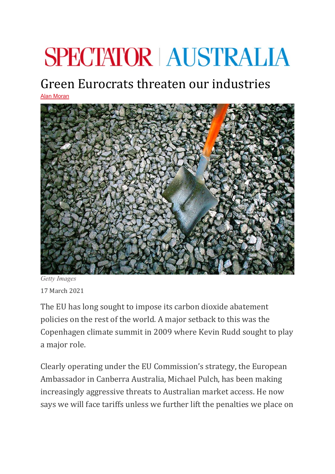## **SPECTATOR | AUSTRALIA**

## Green Eurocrats threaten our industries

[Alan Moran](https://spectator.com.au/author/alanmoran/)



*Getty Images* 17 March 2021

The EU has long sought to impose its carbon dioxide abatement policies on the rest of the world. A major setback to this was the Copenhagen climate summit in 2009 where Kevin Rudd sought to play a major role.

Clearly operating under the EU Commission's strategy, the European Ambassador in Canberra Australia, Michael Pulch, has been making increasingly aggressive threats to Australian market access. He now says we will face tariffs unless we further lift the penalties we place on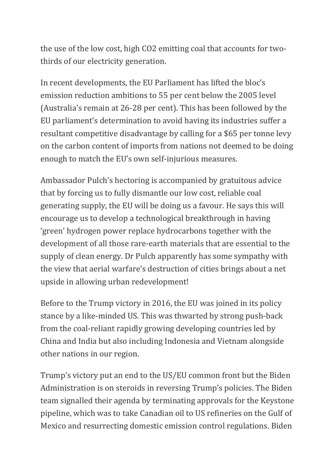the use of the low cost, high CO2 emitting coal that accounts for twothirds of our electricity generation.

In recent developments, the EU Parliament has lifted the bloc's emission reduction ambitions to 55 per cent below the 2005 level (Australia's remain at 26-28 per cent). This has been followed by the EU parliament's determination to avoid having its industries suffer a resultant competitive disadvantage by calling for a \$65 per tonne levy on the carbon content of imports from nations not deemed to be doing enough to match the EU's own self-injurious measures.

Ambassador Pulch's hectoring is accompanied by gratuitous advice that by forcing us to fully dismantle our low cost, reliable coal generating supply, the EU will be doing us a favour. He says this will encourage us to develop a technological breakthrough in having 'green' hydrogen power replace hydrocarbons together with the development of all those rare-earth materials that are essential to the supply of clean energy. Dr Pulch apparently has some sympathy with the view that aerial warfare's destruction of cities brings about a net upside in allowing urban redevelopment!

Before to the Trump victory in 2016, the EU was joined in its policy stance by a like-minded US. This was thwarted by strong push-back from the coal-reliant rapidly growing developing countries led by China and India but also including Indonesia and Vietnam alongside other nations in our region.

Trump's victory put an end to the US/EU common front but the Biden Administration is on steroids in reversing Trump's policies. The Biden team signalled their agenda by terminating approvals for the Keystone pipeline, which was to take Canadian oil to US refineries on the Gulf of Mexico and resurrecting domestic emission control regulations. Biden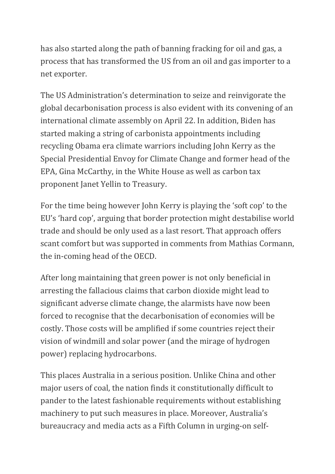has also started along the path of banning fracking for oil and gas, a process that has transformed the US from an oil and gas importer to a net exporter.

The US Administration's determination to seize and reinvigorate the global decarbonisation process is also evident with its convening of an international climate assembly on April 22. In addition, Biden has started making a string of carbonista appointments including recycling Obama era climate warriors including John Kerry as the Special Presidential Envoy for Climate Change and former head of the EPA, Gina McCarthy, in the White House as well as carbon tax proponent Janet Yellin to Treasury.

For the time being however John Kerry is playing the 'soft cop' to the EU's 'hard cop', arguing that border protection might destabilise world trade and should be only used as a last resort. That approach offers scant comfort but was supported in comments from Mathias Cormann, the in-coming head of the OECD.

After long maintaining that green power is not only beneficial in arresting the fallacious claims that carbon dioxide might lead to significant adverse climate change, the alarmists have now been forced to recognise that the decarbonisation of economies will be costly. Those costs will be amplified if some countries reject their vision of windmill and solar power (and the mirage of hydrogen power) replacing hydrocarbons.

This places Australia in a serious position. Unlike China and other major users of coal, the nation finds it constitutionally difficult to pander to the latest fashionable requirements without establishing machinery to put such measures in place. Moreover, Australia's bureaucracy and media acts as a Fifth Column in urging-on self